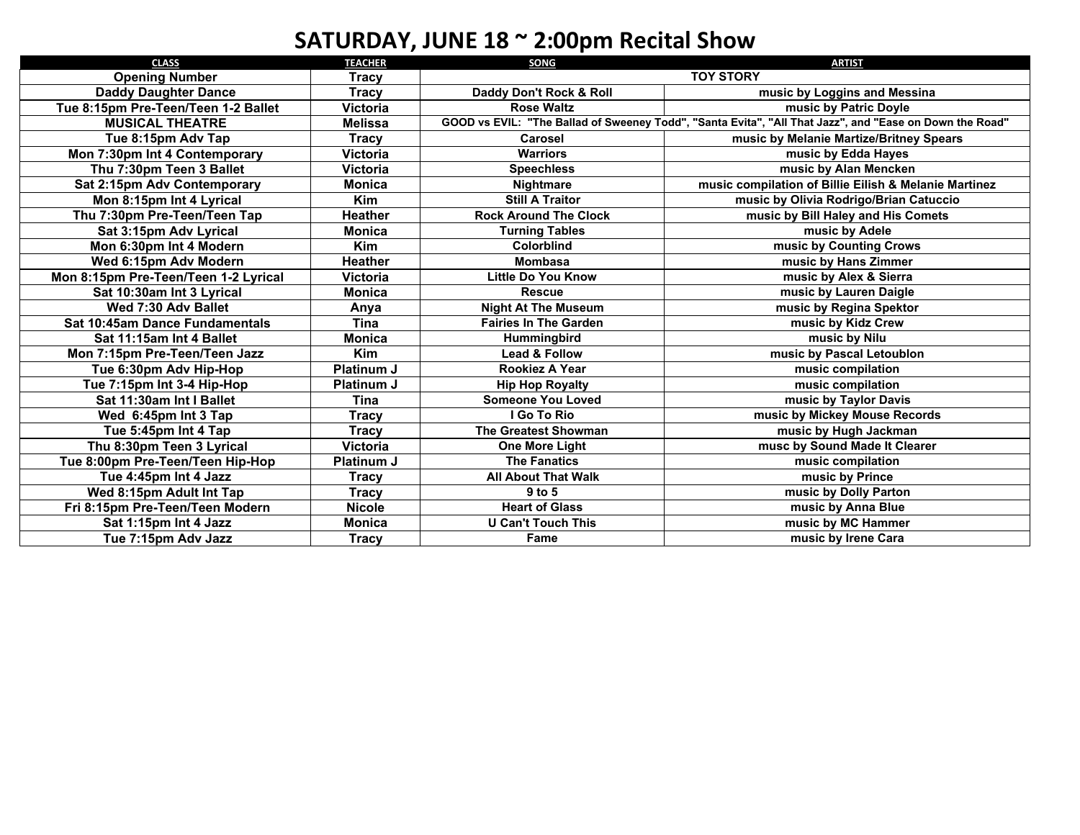## **SATURDAY, JUNE 18 ~ 2:00pm Recital Show**

| <b>CLASS</b>                         | <b>TEACHER</b>  | <b>SONG</b>                                                                                             | <b>ARTIST</b>                                         |
|--------------------------------------|-----------------|---------------------------------------------------------------------------------------------------------|-------------------------------------------------------|
| <b>Opening Number</b>                | <b>Tracy</b>    | <b>TOY STORY</b>                                                                                        |                                                       |
| <b>Daddy Daughter Dance</b>          | <b>Tracy</b>    | Daddy Don't Rock & Roll                                                                                 | music by Loggins and Messina                          |
| Tue 8:15pm Pre-Teen/Teen 1-2 Ballet  | <b>Victoria</b> | <b>Rose Waltz</b>                                                                                       | music by Patric Doyle                                 |
| <b>MUSICAL THEATRE</b>               | <b>Melissa</b>  | GOOD vs EVIL: "The Ballad of Sweeney Todd", "Santa Evita", "All That Jazz", and "Ease on Down the Road" |                                                       |
| Tue 8:15pm Adv Tap                   | <b>Tracy</b>    | Carosel                                                                                                 | music by Melanie Martize/Britney Spears               |
| Mon 7:30pm Int 4 Contemporary        | <b>Victoria</b> | <b>Warriors</b>                                                                                         | music by Edda Hayes                                   |
| Thu 7:30pm Teen 3 Ballet             | <b>Victoria</b> | <b>Speechless</b>                                                                                       | music by Alan Mencken                                 |
| Sat 2:15pm Adv Contemporary          | <b>Monica</b>   | Nightmare                                                                                               | music compilation of Billie Eilish & Melanie Martinez |
| Mon 8:15pm Int 4 Lyrical             | <b>Kim</b>      | <b>Still A Traitor</b>                                                                                  | music by Olivia Rodrigo/Brian Catuccio                |
| Thu 7:30pm Pre-Teen/Teen Tap         | <b>Heather</b>  | <b>Rock Around The Clock</b>                                                                            | music by Bill Haley and His Comets                    |
| Sat 3:15pm Adv Lyrical               | <b>Monica</b>   | <b>Turning Tables</b>                                                                                   | music by Adele                                        |
| Mon 6:30pm Int 4 Modern              | <b>Kim</b>      | <b>Colorblind</b>                                                                                       | music by Counting Crows                               |
| Wed 6:15pm Adv Modern                | <b>Heather</b>  | <b>Mombasa</b>                                                                                          | music by Hans Zimmer                                  |
| Mon 8:15pm Pre-Teen/Teen 1-2 Lyrical | Victoria        | <b>Little Do You Know</b>                                                                               | music by Alex & Sierra                                |
| Sat 10:30am Int 3 Lyrical            | <b>Monica</b>   | <b>Rescue</b>                                                                                           | music by Lauren Daigle                                |
| Wed 7:30 Adv Ballet                  | Anya            | <b>Night At The Museum</b>                                                                              | music by Regina Spektor                               |
| Sat 10:45am Dance Fundamentals       | <b>Tina</b>     | <b>Fairies In The Garden</b>                                                                            | music by Kidz Crew                                    |
| Sat 11:15am Int 4 Ballet             | <b>Monica</b>   | <b>Hummingbird</b>                                                                                      | music by Nilu                                         |
| Mon 7:15pm Pre-Teen/Teen Jazz        | <b>Kim</b>      | <b>Lead &amp; Follow</b>                                                                                | music by Pascal Letoublon                             |
| Tue 6:30pm Adv Hip-Hop               | Platinum J      | <b>Rookiez A Year</b>                                                                                   | music compilation                                     |
| Tue 7:15pm Int 3-4 Hip-Hop           | Platinum J      | <b>Hip Hop Royalty</b>                                                                                  | music compilation                                     |
| Sat 11:30am Int I Ballet             | Tina            | <b>Someone You Loved</b>                                                                                | music by Taylor Davis                                 |
| Wed 6:45pm Int 3 Tap                 | Tracy           | I Go To Rio                                                                                             | music by Mickey Mouse Records                         |
| Tue 5:45pm Int 4 Tap                 | <b>Tracy</b>    | <b>The Greatest Showman</b>                                                                             | music by Hugh Jackman                                 |
| Thu 8:30pm Teen 3 Lyrical            | <b>Victoria</b> | <b>One More Light</b>                                                                                   | musc by Sound Made It Clearer                         |
| Tue 8:00pm Pre-Teen/Teen Hip-Hop     | Platinum J      | <b>The Fanatics</b>                                                                                     | music compilation                                     |
| Tue 4:45pm Int 4 Jazz                | <b>Tracy</b>    | <b>All About That Walk</b>                                                                              | music by Prince                                       |
| Wed 8:15pm Adult Int Tap             | <b>Tracy</b>    | $9$ to 5                                                                                                | music by Dolly Parton                                 |
| Fri 8:15pm Pre-Teen/Teen Modern      | <b>Nicole</b>   | <b>Heart of Glass</b>                                                                                   | music by Anna Blue                                    |
| Sat 1:15pm Int 4 Jazz                | <b>Monica</b>   | <b>U Can't Touch This</b>                                                                               | music by MC Hammer                                    |
| Tue 7:15pm Adv Jazz                  | <b>Tracy</b>    | Fame                                                                                                    | music by Irene Cara                                   |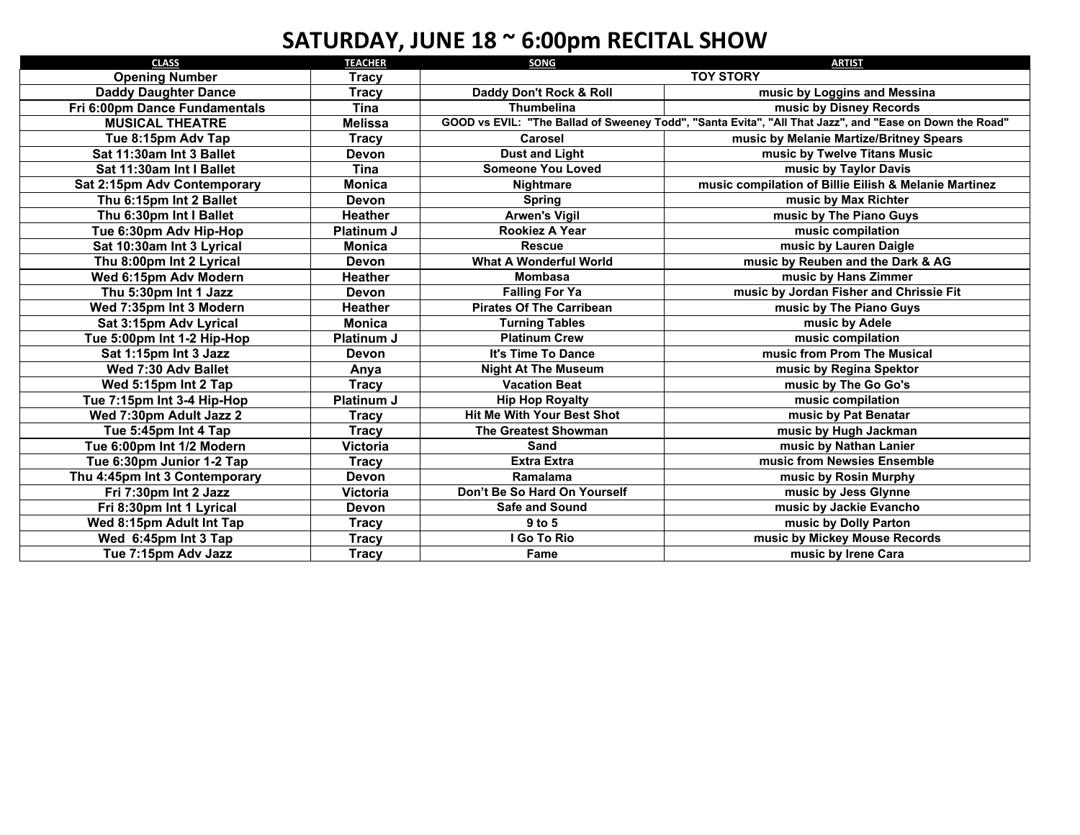## **SATURDAY, JUNE 18 ~ 6:00pm RECITAL SHOW**

| <b>CLASS</b>                  | <b>TEACHER</b>    | SONG                                                                                                    | <b>ARTIST</b>                                         |
|-------------------------------|-------------------|---------------------------------------------------------------------------------------------------------|-------------------------------------------------------|
| <b>Opening Number</b>         | <b>Tracy</b>      | <b>TOY STORY</b>                                                                                        |                                                       |
| <b>Daddy Daughter Dance</b>   | <b>Tracy</b>      | Daddy Don't Rock & Roll                                                                                 | music by Loggins and Messina                          |
| Fri 6:00pm Dance Fundamentals | Tina              | <b>Thumbelina</b>                                                                                       | music by Disney Records                               |
| <b>MUSICAL THEATRE</b>        | <b>Melissa</b>    | GOOD vs EVIL: "The Ballad of Sweeney Todd", "Santa Evita", "All That Jazz", and "Ease on Down the Road" |                                                       |
| Tue 8:15pm Adv Tap            | Tracy             | Carosel                                                                                                 | music by Melanie Martize/Britney Spears               |
| Sat 11:30am Int 3 Ballet      | <b>Devon</b>      | <b>Dust and Light</b>                                                                                   | music by Twelve Titans Music                          |
| Sat 11:30am Int I Ballet      | Tina              | <b>Someone You Loved</b>                                                                                | music by Taylor Davis                                 |
| Sat 2:15pm Adv Contemporary   | <b>Monica</b>     | Nightmare                                                                                               | music compilation of Billie Eilish & Melanie Martinez |
| Thu 6:15pm Int 2 Ballet       | <b>Devon</b>      | <b>Spring</b>                                                                                           | music by Max Richter                                  |
| Thu 6:30pm Int I Ballet       | <b>Heather</b>    | <b>Arwen's Vigil</b>                                                                                    | music by The Piano Guys                               |
| Tue 6:30pm Adv Hip-Hop        | Platinum J        | <b>Rookiez A Year</b>                                                                                   | music compilation                                     |
| Sat 10:30am Int 3 Lyrical     | <b>Monica</b>     | <b>Rescue</b>                                                                                           | music by Lauren Daigle                                |
| Thu 8:00pm Int 2 Lyrical      | Devon             | <b>What A Wonderful World</b>                                                                           | music by Reuben and the Dark & AG                     |
| Wed 6:15pm Adv Modern         | <b>Heather</b>    | <b>Mombasa</b>                                                                                          | music by Hans Zimmer                                  |
| Thu 5:30pm Int 1 Jazz         | <b>Devon</b>      | <b>Falling For Ya</b>                                                                                   | music by Jordan Fisher and Chrissie Fit               |
| Wed 7:35pm Int 3 Modern       | <b>Heather</b>    | <b>Pirates Of The Carribean</b>                                                                         | music by The Piano Guys                               |
| Sat 3:15pm Adv Lyrical        | <b>Monica</b>     | <b>Turning Tables</b>                                                                                   | music by Adele                                        |
| Tue 5:00pm Int 1-2 Hip-Hop    | Platinum J        | <b>Platinum Crew</b>                                                                                    | music compilation                                     |
| Sat 1:15pm Int 3 Jazz         | Devon             | It's Time To Dance                                                                                      | music from Prom The Musical                           |
| Wed 7:30 Adv Ballet           | Anya              | <b>Night At The Museum</b>                                                                              | music by Regina Spektor                               |
| Wed 5:15pm Int 2 Tap          | <b>Tracy</b>      | <b>Vacation Beat</b>                                                                                    | music by The Go Go's                                  |
| Tue 7:15pm Int 3-4 Hip-Hop    | <b>Platinum J</b> | <b>Hip Hop Royalty</b>                                                                                  | music compilation                                     |
| Wed 7:30pm Adult Jazz 2       | <b>Tracy</b>      | <b>Hit Me With Your Best Shot</b>                                                                       | music by Pat Benatar                                  |
| Tue 5:45pm Int 4 Tap          | <b>Tracy</b>      | <b>The Greatest Showman</b>                                                                             | music by Hugh Jackman                                 |
| Tue 6:00pm Int 1/2 Modern     | Victoria          | Sand                                                                                                    | music by Nathan Lanier                                |
| Tue 6:30pm Junior 1-2 Tap     | <b>Tracy</b>      | <b>Extra Extra</b>                                                                                      | music from Newsies Ensemble                           |
| Thu 4:45pm Int 3 Contemporary | Devon             | Ramalama                                                                                                | music by Rosin Murphy                                 |
| Fri 7:30pm Int 2 Jazz         | <b>Victoria</b>   | Don't Be So Hard On Yourself                                                                            | music by Jess Glynne                                  |
| Fri 8:30pm Int 1 Lyrical      | <b>Devon</b>      | Safe and Sound                                                                                          | music by Jackie Evancho                               |
| Wed 8:15pm Adult Int Tap      | <b>Tracy</b>      | 9 to 5                                                                                                  | music by Dolly Parton                                 |
| Wed 6:45pm Int 3 Tap          | <b>Tracy</b>      | I Go To Rio                                                                                             | music by Mickey Mouse Records                         |
| Tue 7:15pm Adv Jazz           | <b>Tracy</b>      | Fame                                                                                                    | music by Irene Cara                                   |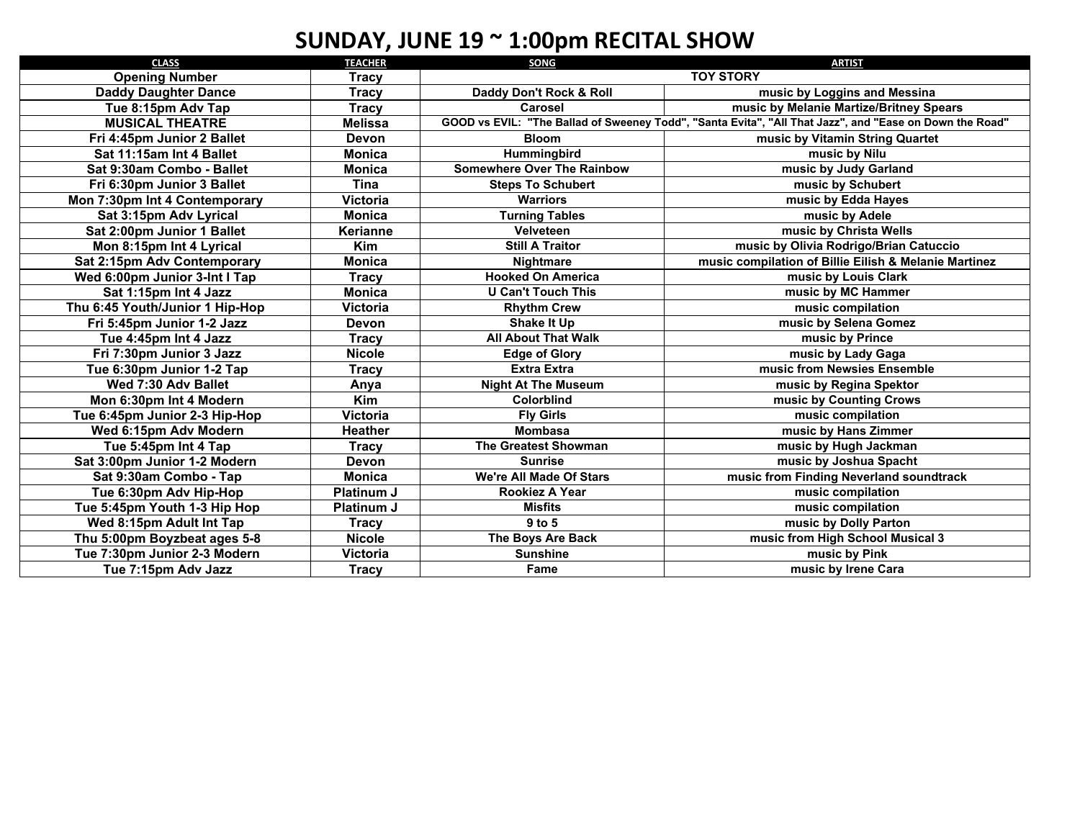## **SUNDAY, JUNE 19 ~ 1:00pm RECITAL SHOW**

| <b>CLASS</b>                    | <b>TEACHER</b>    | <b>SONG</b>                                                                                             | <b>ARTIST</b>                                         |
|---------------------------------|-------------------|---------------------------------------------------------------------------------------------------------|-------------------------------------------------------|
| <b>Opening Number</b>           | <b>Tracy</b>      | <b>TOY STORY</b>                                                                                        |                                                       |
| <b>Daddy Daughter Dance</b>     | <b>Tracy</b>      | Daddy Don't Rock & Roll                                                                                 | music by Loggins and Messina                          |
| Tue 8:15pm Adv Tap              | <b>Tracy</b>      | Carosel                                                                                                 | music by Melanie Martize/Britney Spears               |
| <b>MUSICAL THEATRE</b>          | <b>Melissa</b>    | GOOD vs EVIL: "The Ballad of Sweeney Todd", "Santa Evita", "All That Jazz", and "Ease on Down the Road" |                                                       |
| Fri 4:45pm Junior 2 Ballet      | <b>Devon</b>      | <b>Bloom</b>                                                                                            | music by Vitamin String Quartet                       |
| Sat 11:15am Int 4 Ballet        | <b>Monica</b>     | Hummingbird                                                                                             | music by Nilu                                         |
| Sat 9:30am Combo - Ballet       | <b>Monica</b>     | <b>Somewhere Over The Rainbow</b>                                                                       | music by Judy Garland                                 |
| Fri 6:30pm Junior 3 Ballet      | <b>Tina</b>       | <b>Steps To Schubert</b>                                                                                | music by Schubert                                     |
| Mon 7:30pm Int 4 Contemporary   | Victoria          | <b>Warriors</b>                                                                                         | music by Edda Hayes                                   |
| Sat 3:15pm Adv Lyrical          | <b>Monica</b>     | <b>Turning Tables</b>                                                                                   | music by Adele                                        |
| Sat 2:00pm Junior 1 Ballet      | <b>Kerianne</b>   | Velveteen                                                                                               | music by Christa Wells                                |
| Mon 8:15pm Int 4 Lyrical        | <b>Kim</b>        | <b>Still A Traitor</b>                                                                                  | music by Olivia Rodrigo/Brian Catuccio                |
| Sat 2:15pm Adv Contemporary     | <b>Monica</b>     | <b>Nightmare</b>                                                                                        | music compilation of Billie Eilish & Melanie Martinez |
| Wed 6:00pm Junior 3-Int I Tap   | <b>Tracy</b>      | <b>Hooked On America</b>                                                                                | music by Louis Clark                                  |
| Sat 1:15pm Int 4 Jazz           | <b>Monica</b>     | <b>U Can't Touch This</b>                                                                               | music by MC Hammer                                    |
| Thu 6:45 Youth/Junior 1 Hip-Hop | <b>Victoria</b>   | <b>Rhythm Crew</b>                                                                                      | music compilation                                     |
| Fri 5:45pm Junior 1-2 Jazz      | <b>Devon</b>      | Shake It Up                                                                                             | music by Selena Gomez                                 |
| Tue 4:45pm Int 4 Jazz           | <b>Tracy</b>      | <b>All About That Walk</b>                                                                              | music by Prince                                       |
| Fri 7:30pm Junior 3 Jazz        | <b>Nicole</b>     | <b>Edge of Glory</b>                                                                                    | music by Lady Gaga                                    |
| Tue 6:30pm Junior 1-2 Tap       | <b>Tracy</b>      | <b>Extra Extra</b>                                                                                      | music from Newsies Ensemble                           |
| Wed 7:30 Adv Ballet             | Anya              | <b>Night At The Museum</b>                                                                              | music by Regina Spektor                               |
| Mon 6:30pm Int 4 Modern         | Kim               | <b>Colorblind</b>                                                                                       | music by Counting Crows                               |
| Tue 6:45pm Junior 2-3 Hip-Hop   | <b>Victoria</b>   | <b>Fly Girls</b>                                                                                        | music compilation                                     |
| Wed 6:15pm Adv Modern           | <b>Heather</b>    | <b>Mombasa</b>                                                                                          | music by Hans Zimmer                                  |
| Tue 5:45pm Int 4 Tap            | <b>Tracy</b>      | The Greatest Showman                                                                                    | music by Hugh Jackman                                 |
| Sat 3:00pm Junior 1-2 Modern    | <b>Devon</b>      | <b>Sunrise</b>                                                                                          | music by Joshua Spacht                                |
| Sat 9:30am Combo - Tap          | <b>Monica</b>     | We're All Made Of Stars                                                                                 | music from Finding Neverland soundtrack               |
| Tue 6:30pm Adv Hip-Hop          | Platinum J        | <b>Rookiez A Year</b>                                                                                   | music compilation                                     |
| Tue 5:45pm Youth 1-3 Hip Hop    | <b>Platinum J</b> | <b>Misfits</b>                                                                                          | music compilation                                     |
| Wed 8:15pm Adult Int Tap        | <b>Tracy</b>      | 9 to 5                                                                                                  | music by Dolly Parton                                 |
| Thu 5:00pm Boyzbeat ages 5-8    | <b>Nicole</b>     | The Boys Are Back                                                                                       | music from High School Musical 3                      |
| Tue 7:30pm Junior 2-3 Modern    | <b>Victoria</b>   | <b>Sunshine</b>                                                                                         | music by Pink                                         |
| Tue 7:15pm Adv Jazz             | <b>Tracy</b>      | Fame                                                                                                    | music by Irene Cara                                   |